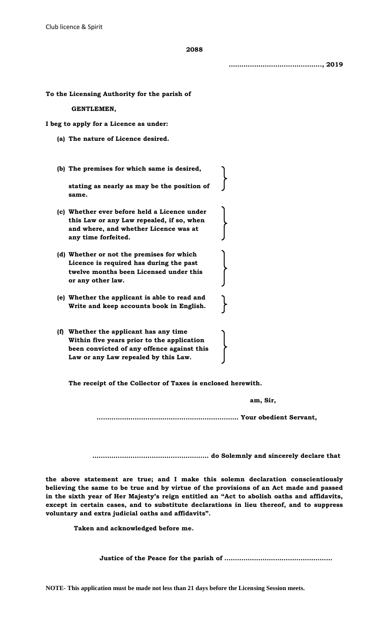**2088**

**…………………………………….., 2019**

**To the Licensing Authority for the parish of**

 **GENTLEMEN,**

**I beg to apply for a Licence as under:**

- **(a) The nature of Licence desired.**
- **(b) The premises for which same is desired,**

**stating as nearly as may be the position of same.**

- **(c) Whether ever before held a Licence under this Law or any Law repealed, if so, when and where, and whether Licence was at any time forfeited.**
- **(d) Whether or not the premises for which Licence is required has during the past twelve months been Licensed under this or any other law.**
- **(e) Whether the applicant is able to read and Write and keep accounts book in English.**
- **(f) Whether the applicant has any time Within five years prior to the application been convicted of any offence against this Law or any Law repealed by this Law.**

**The receipt of the Collector of Taxes is enclosed herewith.**

 **am, Sir,**

 **…………………………………………………………. Your obedient Servant,**

 **………….…………………………………… do Solemnly and sincerely declare that**

**the above statement are true; and I make this solemn declaration conscientiously believing the same to be true and by virtue of the provisions of an Act made and passed in the sixth year of Her Majesty's reign entitled an "Act to abolish oaths and affidavits, except in certain cases, and to substitute declarations in lieu thereof, and to suppress voluntary and extra judicial oaths and affidavits".**

 **Taken and acknowledged before me.**

 **Justice of the Peace for the parish of ……………………………………………**

**NOTE- This application must be made not less than 21 days before the Licensing Session meets.**